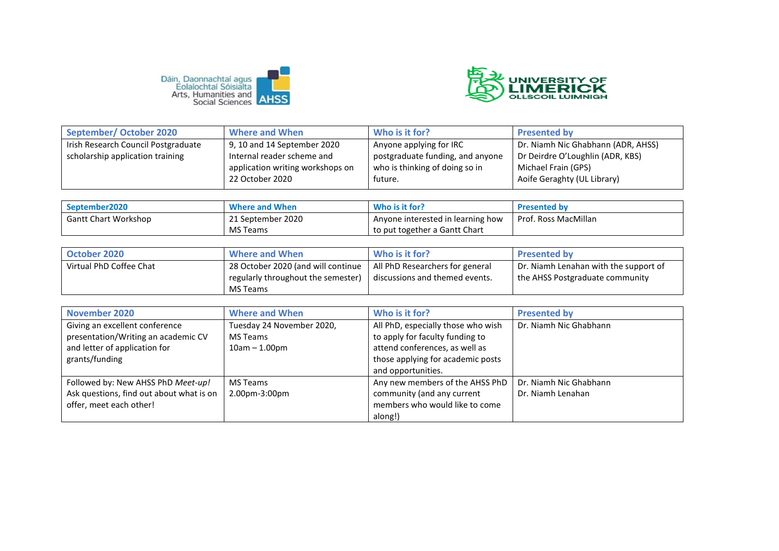



| September/October 2020              | <b>Where and When</b>            | Who is it for?                   | <b>Presented by</b>                |
|-------------------------------------|----------------------------------|----------------------------------|------------------------------------|
| Irish Research Council Postgraduate | 9, 10 and 14 September 2020      | Anyone applying for IRC          | Dr. Niamh Nic Ghabhann (ADR, AHSS) |
| scholarship application training    | Internal reader scheme and       | postgraduate funding, and anyone | Dr Deirdre O'Loughlin (ADR, KBS)   |
|                                     | application writing workshops on | who is thinking of doing so in   | Michael Frain (GPS)                |
|                                     | 22 October 2020                  | future.                          | Aoife Geraghty (UL Library)        |

| September2020               | <b>Where and When</b> | Who is it for?                    | <b>Presented by</b>  |
|-----------------------------|-----------------------|-----------------------------------|----------------------|
| <b>Gantt Chart Workshop</b> | 21 September 2020     | Anyone interested in learning how | Prof. Ross MacMillan |
|                             | <b>MS Teams</b>       | to put together a Gantt Chart     |                      |

| October 2020            | <b>Where and When</b>              | Who is it for?                  | <b>Presented by</b>                   |
|-------------------------|------------------------------------|---------------------------------|---------------------------------------|
| Virtual PhD Coffee Chat | 28 October 2020 (and will continue | All PhD Researchers for general | Dr. Niamh Lenahan with the support of |
|                         | regularly throughout the semester) | discussions and themed events.  | the AHSS Postgraduate community       |
|                         | MS Teams                           |                                 |                                       |

| November 2020                            | <b>Where and When</b>     | Who is it for?                     | <b>Presented by</b>    |
|------------------------------------------|---------------------------|------------------------------------|------------------------|
| Giving an excellent conference           | Tuesday 24 November 2020, | All PhD, especially those who wish | Dr. Niamh Nic Ghabhann |
| presentation/Writing an academic CV      | <b>MS Teams</b>           | to apply for faculty funding to    |                        |
| and letter of application for            | $10am - 1.00pm$           | attend conferences, as well as     |                        |
| grants/funding                           |                           | those applying for academic posts  |                        |
|                                          |                           | and opportunities.                 |                        |
| Followed by: New AHSS PhD Meet-up!       | MS Teams                  | Any new members of the AHSS PhD    | Dr. Niamh Nic Ghabhann |
| Ask questions, find out about what is on | 2.00pm-3:00pm             | community (and any current         | Dr. Niamh Lenahan      |
| offer, meet each other!                  |                           | members who would like to come     |                        |
|                                          |                           | along!)                            |                        |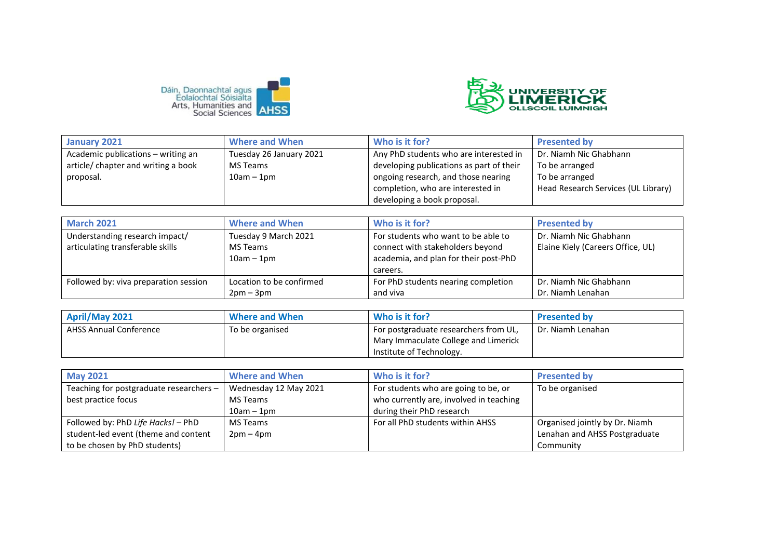



| January 2021                        | <b>Where and When</b>   | Who is it for?                           | <b>Presented by</b>                 |
|-------------------------------------|-------------------------|------------------------------------------|-------------------------------------|
| Academic publications - writing an  | Tuesday 26 January 2021 | Any PhD students who are interested in   | Dr. Niamh Nic Ghabhann              |
| article/ chapter and writing a book | MS Teams                | developing publications as part of their | To be arranged                      |
| proposal.                           | $10am - 1pm$            | ongoing research, and those nearing      | To be arranged                      |
|                                     |                         | completion, who are interested in        | Head Research Services (UL Library) |
|                                     |                         | developing a book proposal.              |                                     |

| <b>March 2021</b>                     | <b>Where and When</b>    | Who is it for?                        | <b>Presented by</b>               |
|---------------------------------------|--------------------------|---------------------------------------|-----------------------------------|
| Understanding research impact/        | Tuesday 9 March 2021     | For students who want to be able to   | Dr. Niamh Nic Ghabhann            |
| articulating transferable skills      | MS Teams                 | connect with stakeholders beyond      | Elaine Kiely (Careers Office, UL) |
|                                       | $10am - 1pm$             | academia, and plan for their post-PhD |                                   |
|                                       |                          | careers.                              |                                   |
| Followed by: viva preparation session | Location to be confirmed | For PhD students nearing completion   | Dr. Niamh Nic Ghabhann            |
|                                       | $2pm-3pm$                | and viva                              | Dr. Niamh Lenahan                 |

| April/May 2021                | <b>Where and When</b> | Who is it for?                        | <b>Presented by</b> |
|-------------------------------|-----------------------|---------------------------------------|---------------------|
| <b>AHSS Annual Conference</b> | To be organised       | For postgraduate researchers from UL, | Dr. Niamh Lenahan   |
|                               |                       | Mary Immaculate College and Limerick  |                     |
|                               |                       | Institute of Technology.              |                     |

| <b>May 2021</b>                         | <b>Where and When</b> | Who is it for?                          | <b>Presented by</b>            |
|-----------------------------------------|-----------------------|-----------------------------------------|--------------------------------|
| Teaching for postgraduate researchers - | Wednesday 12 May 2021 | For students who are going to be, or    | To be organised                |
| best practice focus                     | MS Teams              | who currently are, involved in teaching |                                |
|                                         | $10am - 1pm$          | during their PhD research               |                                |
| Followed by: PhD Life Hacks! - PhD      | MS Teams              | For all PhD students within AHSS        | Organised jointly by Dr. Niamh |
| student-led event (theme and content    | $2pm-4pm$             |                                         | Lenahan and AHSS Postgraduate  |
| to be chosen by PhD students)           |                       |                                         | Community                      |